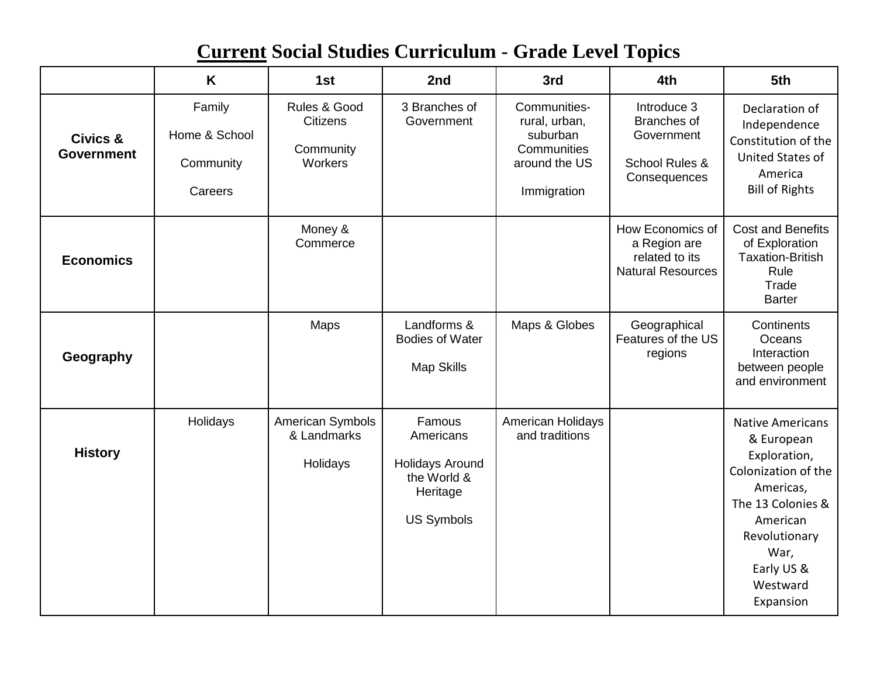## **Current Social Studies Curriculum - Grade Level Topics**

|                                          | K                                               | 1st                                                     | 2nd                                                                                           | 3rd                                                                                      | 4th                                                                            | 5th                                                                                                                                                                                        |
|------------------------------------------|-------------------------------------------------|---------------------------------------------------------|-----------------------------------------------------------------------------------------------|------------------------------------------------------------------------------------------|--------------------------------------------------------------------------------|--------------------------------------------------------------------------------------------------------------------------------------------------------------------------------------------|
| <b>Civics &amp;</b><br><b>Government</b> | Family<br>Home & School<br>Community<br>Careers | Rules & Good<br><b>Citizens</b><br>Community<br>Workers | 3 Branches of<br>Government                                                                   | Communities-<br>rural, urban,<br>suburban<br>Communities<br>around the US<br>Immigration | Introduce 3<br>Branches of<br>Government<br>School Rules &<br>Consequences     | Declaration of<br>Independence<br>Constitution of the<br><b>United States of</b><br>America<br><b>Bill of Rights</b>                                                                       |
| <b>Economics</b>                         |                                                 | Money &<br>Commerce                                     |                                                                                               |                                                                                          | How Economics of<br>a Region are<br>related to its<br><b>Natural Resources</b> | <b>Cost and Benefits</b><br>of Exploration<br><b>Taxation-British</b><br>Rule<br>Trade<br><b>Barter</b>                                                                                    |
| Geography                                |                                                 | <b>Maps</b>                                             | Landforms &<br><b>Bodies of Water</b><br><b>Map Skills</b>                                    | Maps & Globes                                                                            | Geographical<br>Features of the US<br>regions                                  | Continents<br>Oceans<br>Interaction<br>between people<br>and environment                                                                                                                   |
| <b>History</b>                           | Holidays                                        | American Symbols<br>& Landmarks<br>Holidays             | Famous<br>Americans<br><b>Holidays Around</b><br>the World &<br>Heritage<br><b>US Symbols</b> | American Holidays<br>and traditions                                                      |                                                                                | <b>Native Americans</b><br>& European<br>Exploration,<br>Colonization of the<br>Americas,<br>The 13 Colonies &<br>American<br>Revolutionary<br>War,<br>Early US &<br>Westward<br>Expansion |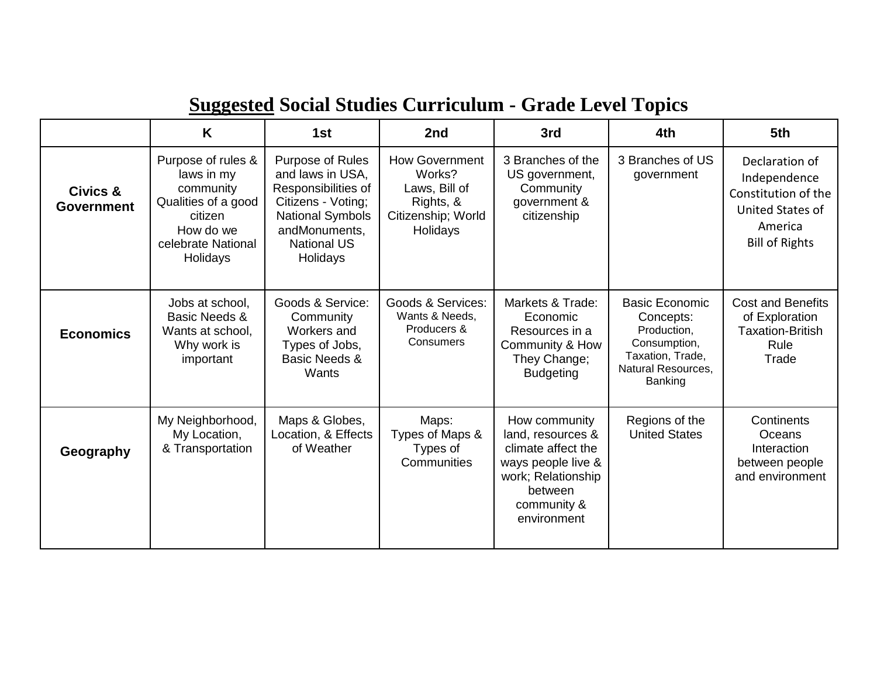## **Suggested Social Studies Curriculum - Grade Level Topics**

|                               | K                                                                                                                              | 1st                                                                                                                                                             | 2nd                                                                                             | 3rd                                                                                                                                           | 4th                                                                                                                           | 5th                                                                                                           |
|-------------------------------|--------------------------------------------------------------------------------------------------------------------------------|-----------------------------------------------------------------------------------------------------------------------------------------------------------------|-------------------------------------------------------------------------------------------------|-----------------------------------------------------------------------------------------------------------------------------------------------|-------------------------------------------------------------------------------------------------------------------------------|---------------------------------------------------------------------------------------------------------------|
| Civics &<br><b>Government</b> | Purpose of rules &<br>laws in my<br>community<br>Qualities of a good<br>citizen<br>How do we<br>celebrate National<br>Holidays | Purpose of Rules<br>and laws in USA,<br>Responsibilities of<br>Citizens - Voting;<br><b>National Symbols</b><br>andMonuments,<br><b>National US</b><br>Holidays | <b>How Government</b><br>Works?<br>Laws, Bill of<br>Rights, &<br>Citizenship; World<br>Holidays | 3 Branches of the<br>US government,<br>Community<br>government &<br>citizenship                                                               | 3 Branches of US<br>government                                                                                                | Declaration of<br>Independence<br>Constitution of the<br>United States of<br>America<br><b>Bill of Rights</b> |
| <b>Economics</b>              | Jobs at school,<br>Basic Needs &<br>Wants at school,<br>Why work is<br>important                                               | Goods & Service:<br>Community<br>Workers and<br>Types of Jobs,<br>Basic Needs &<br>Wants                                                                        | Goods & Services:<br>Wants & Needs,<br>Producers &<br>Consumers                                 | Markets & Trade:<br>Economic<br>Resources in a<br>Community & How<br>They Change;<br><b>Budgeting</b>                                         | <b>Basic Economic</b><br>Concepts:<br>Production,<br>Consumption,<br>Taxation, Trade,<br><b>Natural Resources,</b><br>Banking | <b>Cost and Benefits</b><br>of Exploration<br><b>Taxation-British</b><br>Rule<br>Trade                        |
| Geography                     | My Neighborhood,<br>My Location,<br>& Transportation                                                                           | Maps & Globes,<br>Location, & Effects<br>of Weather                                                                                                             | Maps:<br>Types of Maps &<br>Types of<br>Communities                                             | How community<br>land, resources &<br>climate affect the<br>ways people live &<br>work; Relationship<br>between<br>community &<br>environment | Regions of the<br><b>United States</b>                                                                                        | Continents<br>Oceans<br>Interaction<br>between people<br>and environment                                      |